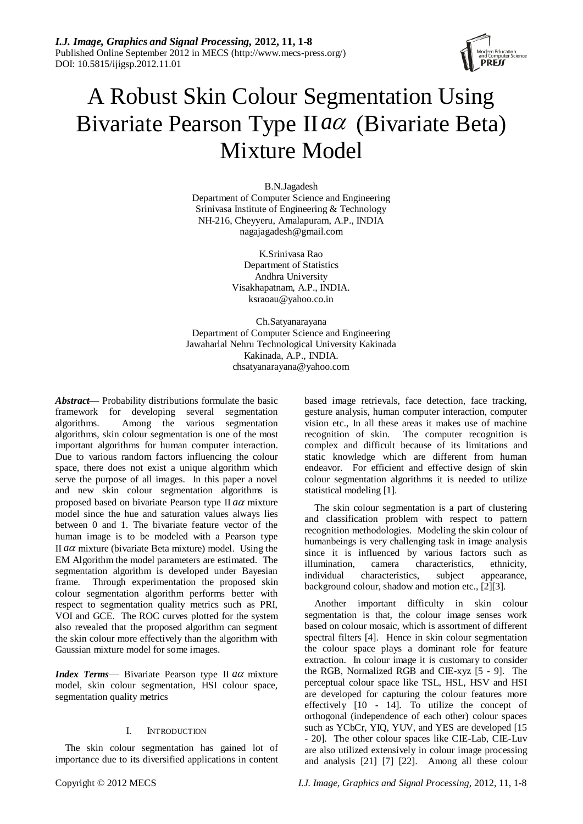*I.J. Image, Graphics and Signal Processing,* **2012, 11, 1-8** Published Online September 2012 in MECS (http://www.mecs-press.org/) DOI: 10.5815/ijigsp.2012.11.01



# A Robust Skin Colour Segmentation Using Bivariate Pearson Type II *a* (Bivariate Beta) Mixture Model

B.N.Jagadesh Department of Computer Science and Engineering Srinivasa Institute of Engineering & Technology NH-216, Cheyyeru, Amalapuram, A.P., INDIA nagajagadesh@gmail.com

> K.Srinivasa Rao Department of Statistics Andhra University Visakhapatnam, A.P., INDIA. ksraoau@yahoo.co.in

Ch.Satyanarayana Department of Computer Science and Engineering Jawaharlal Nehru Technological University Kakinada Kakinada, A.P., INDIA. chsatyanarayana@yahoo.com

*Abstract***—** Probability distributions formulate the basic framework for developing several segmentation<br>algorithms. Among the various segmentation Among the algorithms, skin colour segmentation is one of the most important algorithms for human computer interaction. Due to various random factors influencing the colour space, there does not exist a unique algorithm which serve the purpose of all images. In this paper a novel and new skin colour segmentation algorithms is proposed based on bivariate Pearson type II *a* mixture model since the hue and saturation values always lies between 0 and 1. The bivariate feature vector of the human image is to be modeled with a Pearson type II aa mixture (bivariate Beta mixture) model. Using the EM Algorithm the model parameters are estimated. The segmentation algorithm is developed under Bayesian frame. Through experimentation the proposed skin colour segmentation algorithm performs better with respect to segmentation quality metrics such as PRI, VOI and GCE. The ROC curves plotted for the system also revealed that the proposed algorithm can segment the skin colour more effectively than the algorithm with Gaussian mixture model for some images.

*Index Terms*— Bivariate Pearson type II *a* mixture model, skin colour segmentation, HSI colour space, segmentation quality metrics

### I. INTRODUCTION

The skin colour segmentation has gained lot of importance due to its diversified applications in content

based image retrievals, face detection, face tracking, gesture analysis, human computer interaction, computer vision etc., In all these areas it makes use of machine recognition of skin. The computer recognition is complex and difficult because of its limitations and static knowledge which are different from human endeavor. For efficient and effective design of skin colour segmentation algorithms it is needed to utilize statistical modeling [1].

The skin colour segmentation is a part of clustering and classification problem with respect to pattern recognition methodologies. Modeling the skin colour of humanbeings is very challenging task in image analysis since it is influenced by various factors such as illumination, camera characteristics, ethnicity, individual characteristics, subject appearance, background colour, shadow and motion etc., [2][3].

Another important difficulty in skin colour segmentation is that, the colour image senses work based on colour mosaic, which is assortment of different spectral filters [4]. Hence in skin colour segmentation the colour space plays a dominant role for feature extraction. In colour image it is customary to consider the RGB, Normalized RGB and CIE-xyz [5 - 9]. The perceptual colour space like TSL, HSL, HSV and HSI are developed for capturing the colour features more effectively [10 - 14]. To utilize the concept of orthogonal (independence of each other) colour spaces such as YCbCr, YIQ, YUV, and YES are developed [15 - 20]. The other colour spaces like CIE-Lab, CIE-Luv are also utilized extensively in colour image processing and analysis [21] [7] [22]. Among all these colour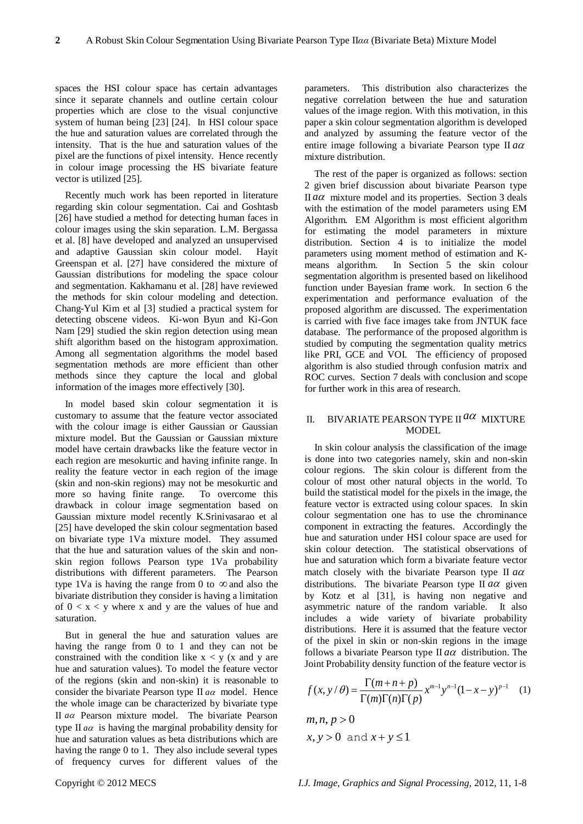spaces the HSI colour space has certain advantages since it separate channels and outline certain colour properties which are close to the visual conjunctive system of human being [23] [24]. In HSI colour space the hue and saturation values are correlated through the intensity. That is the hue and saturation values of the pixel are the functions of pixel intensity. Hence recently in colour image processing the HS bivariate feature vector is utilized [25].

Recently much work has been reported in literature regarding skin colour segmentation. Cai and Goshtasb [26] have studied a method for detecting human faces in colour images using the skin separation. L.M. Bergassa et al. [8] have developed and analyzed an unsupervised and adaptive Gaussian skin colour model. Hayit Greenspan et al. [27] have considered the mixture of Gaussian distributions for modeling the space colour and segmentation. Kakhamanu et al. [28] have reviewed the methods for skin colour modeling and detection. Chang-Yul Kim et al [3] studied a practical system for detecting obscene videos. Ki-won Byun and Ki-Gon Nam [29] studied the skin region detection using mean shift algorithm based on the histogram approximation. Among all segmentation algorithms the model based segmentation methods are more efficient than other methods since they capture the local and global information of the images more effectively [30].

In model based skin colour segmentation it is customary to assume that the feature vector associated with the colour image is either Gaussian or Gaussian mixture model. But the Gaussian or Gaussian mixture model have certain drawbacks like the feature vector in each region are mesokurtic and having infinite range. In reality the feature vector in each region of the image (skin and non-skin regions) may not be mesokurtic and more so having finite range. To overcome this drawback in colour image segmentation based on Gaussian mixture model recently K.Srinivasarao et al [25] have developed the skin colour segmentation based on bivariate type 1Va mixture model. They assumed that the hue and saturation values of the skin and nonskin region follows Pearson type 1Va probability distributions with different parameters. The Pearson type 1Va is having the range from 0 to  $\infty$  and also the bivariate distribution they consider is having a limitation of  $0 \le x \le y$  where x and y are the values of hue and saturation.

But in general the hue and saturation values are having the range from 0 to 1 and they can not be constrained with the condition like  $x < y$  (x and y are hue and saturation values). To model the feature vector of the regions (skin and non-skin) it is reasonable to consider the bivariate Pearson type II  $a\alpha$  model. Hence the whole image can be characterized by bivariate type II *a* Pearson mixture model. The bivariate Pearson type II  $a\alpha$  is having the marginal probability density for hue and saturation values as beta distributions which are having the range 0 to 1. They also include several types of frequency curves for different values of the

parameters. This distribution also characterizes the negative correlation between the hue and saturation values of the image region. With this motivation, in this paper a skin colour segmentation algorithm is developed and analyzed by assuming the feature vector of the entire image following a bivariate Pearson type II *a* mixture distribution.

The rest of the paper is organized as follows: section 2 given brief discussion about bivariate Pearson type II a  $\alpha$  mixture model and its properties. Section 3 deals with the estimation of the model parameters using EM Algorithm. EM Algorithm is most efficient algorithm for estimating the model parameters in mixture distribution. Section 4 is to initialize the model parameters using moment method of estimation and Kmeans algorithm. In Section 5 the skin colour segmentation algorithm is presented based on likelihood function under Bayesian frame work. In section 6 the experimentation and performance evaluation of the proposed algorithm are discussed. The experimentation is carried with five face images take from JNTUK face database. The performance of the proposed algorithm is studied by computing the segmentation quality metrics like PRI, GCE and VOI. The efficiency of proposed algorithm is also studied through confusion matrix and ROC curves. Section 7 deals with conclusion and scope for further work in this area of research.

## II. BIVARIATE PEARSON TYPE II *a* MIXTURE MODEL

In skin colour analysis the classification of the image is done into two categories namely, skin and non-skin colour regions. The skin colour is different from the colour of most other natural objects in the world. To build the statistical model for the pixels in the image, the feature vector is extracted using colour spaces. In skin colour segmentation one has to use the chrominance component in extracting the features. Accordingly the hue and saturation under HSI colour space are used for skin colour detection. The statistical observations of hue and saturation which form a bivariate feature vector match closely with the bivariate Pearson type II *a* distributions. The bivariate Pearson type II  $a\alpha$  given by Kotz et al [31], is having non negative and asymmetric nature of the random variable. It also includes a wide variety of bivariate probability distributions. Here it is assumed that the feature vector of the pixel in skin or non-skin regions in the image follows a bivariate Pearson type II  $a\alpha$  distribution. The

Joint Probability density function of the feature vector is  
\n
$$
f(x, y/\theta) = \frac{\Gamma(m+n+p)}{\Gamma(m)\Gamma(n)\Gamma(p)} x^{m-1} y^{n-1} (1-x-y)^{p-1}
$$
 (1)

$$
m, n, p > 0
$$
  
x, y > 0 and x + y \le 1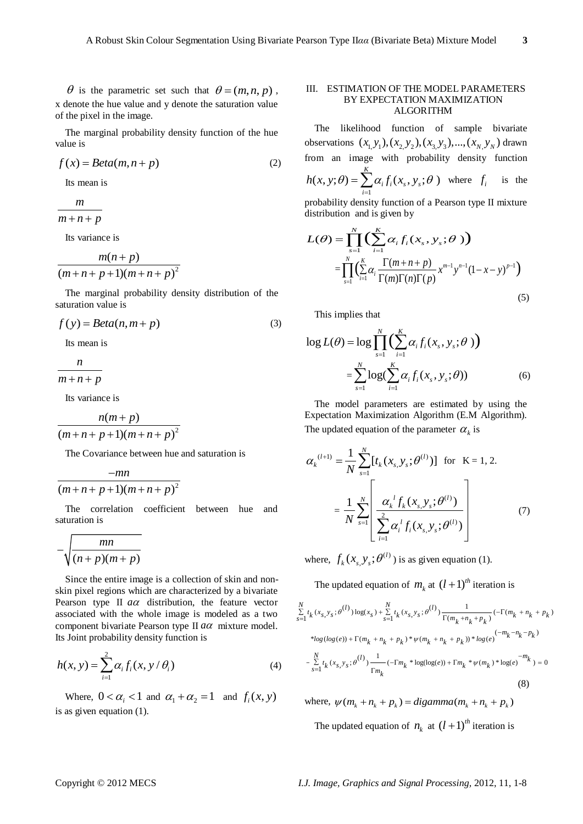$\theta$  is the parametric set such that  $\theta = (m, n, p)$ , x denote the hue value and y denote the saturation value of the pixel in the image.

The marginal probability density function of the hue value is

$$
f(x) = Beta(m, n + p)
$$
 (2)

Its mean is

*m*

 $m + n + p$ 

Its variance is

$$
\frac{m(n+p)}{(m+n+p+1)(m+n+p)^2}
$$

The marginal probability density distribution of the saturation value is

$$
f(y) = Beta(n, m + p)
$$
 (3)

Its mean is

$$
\frac{n}{m+n+p}
$$

Its variance is

$$
\frac{n(m+p)}{(m+n+p+1)(m+n+p)^2}
$$

The Covariance between hue and saturation is

$$
\frac{-mn}{(m+n+p+1)(m+n+p)^2}
$$

The correlation coefficient between hue and saturation is

$$
-\sqrt{\frac{mn}{(n+p)(m+p)}}
$$

Since the entire image is a collection of skin and nonskin pixel regions which are characterized by a bivariate Pearson type II  $a\alpha$  distribution, the feature vector associated with the whole image is modeled as a two component bivariate Pearson type II  $a\alpha$  mixture model. Its Joint probability density function is

$$
h(x, y) = \sum_{i=1}^{2} \alpha_i f_i(x, y / \theta_i)
$$
 (4)

Where,  $0 < \alpha_i < 1$  and  $\alpha_1 + \alpha_2 = 1$  and  $f_i(x, y)$ is as given equation (1).

#### III. ESTIMATION OF THE MODEL PARAMETERS BY EXPECTATION MAXIMIZATION ALGORITHM

The likelihood function of sample bivariate The IIRE<br>
1000 function of sample bivariate<br>  $\cos x$   $(x_1, y_1), (x_2, y_2), (x_3, y_3), ..., (x_N, y_N)$  drawn from an image with probability density function

$$
h(x, y; \theta) = \sum_{i=1}^{K} \alpha_i f_i(x_s, y_s; \theta)
$$
 where  $f_i$  is the

probability density function of a Pearson type II mixture

distribution and is given by  
\n
$$
L(\theta) = \prod_{s=1}^{N} \left( \sum_{i=1}^{K} \alpha_i f_i(x_s, y_s; \theta) \right)
$$
\n
$$
= \prod_{s=1}^{N} \left( \sum_{i=1}^{K} \alpha_i \frac{\Gamma(m+n+p)}{\Gamma(m)\Gamma(n)\Gamma(p)} x^{m-1} y^{n-1} (1-x-y)^{p-1} \right)
$$
\n(5)

This implies that

This implies that  
\n
$$
\log L(\theta) = \log \prod_{s=1}^{N} \left( \sum_{i=1}^{K} \alpha_i f_i(x_s, y_s; \theta) \right)
$$
\n
$$
= \sum_{s=1}^{N} \log \left( \sum_{i=1}^{K} \alpha_i f_i(x_s, y_s; \theta) \right) \tag{6}
$$

The model parameters are estimated by using the Expectation Maximization Algorithm (E.M Algorithm). The updated equation of the parameter  $\alpha_k$  is

$$
\alpha_{k}^{(l+1)} = \frac{1}{N} \sum_{s=1}^{N} [t_{k}(x_{s, y_{s}}; \theta^{(l)})] \text{ for } K = 1, 2.
$$

$$
= \frac{1}{N} \sum_{s=1}^{N} \left[ \frac{\alpha_{k}^{l} f_{k}(x_{s, y_{s}}; \theta^{(l)})}{\sum_{i=1}^{N} \alpha_{i}^{l} f_{i}(x_{s, y_{s}}; \theta^{(l)})} \right]
$$
(7)

where,  $f_k(x_s, y_s; \theta^{(l)})$  $f_k(x_{s, y_s}; \theta^{(l)})$  is as given equation (1).

The updated equation of 
$$
m_k
$$
 at  $(l + 1)^{th}$  iteration is  
\n
$$
\sum_{s=1}^{N} t_k(x_s, y_s; \theta^{(l)}) \log(x_s) + \sum_{s=1}^{N} t_k(x_s, y_s; \theta^{(l)}) \frac{1}{\Gamma(m_k + n_k + p_k)} (-\Gamma(m_k + n_k + p_k))
$$
\n\*
$$
\log(\log(e)) + \Gamma(m_k + n_k + p_k) * \psi(m_k + n_k + p_k)) * \log(e) \frac{(-m_k - n_k - p_k)}{-\sum_{s=1}^{N} t_k(x_s, y_s; \theta^{(l)}) \frac{1}{\Gamma m_k} (-\Gamma m_k * \log(\log(e)) + \Gamma m_k * \psi(m_k) * \log(e) \frac{-m_k}{\Gamma m_k}) = 0
$$
\n(8)

where,  $\psi(m_k + n_k + p_k) =$  *digamma* ( $m_k + n_k + p_k$ ) The updated equation of  $n_k$  at  $(l+1)^{th}$  iteration is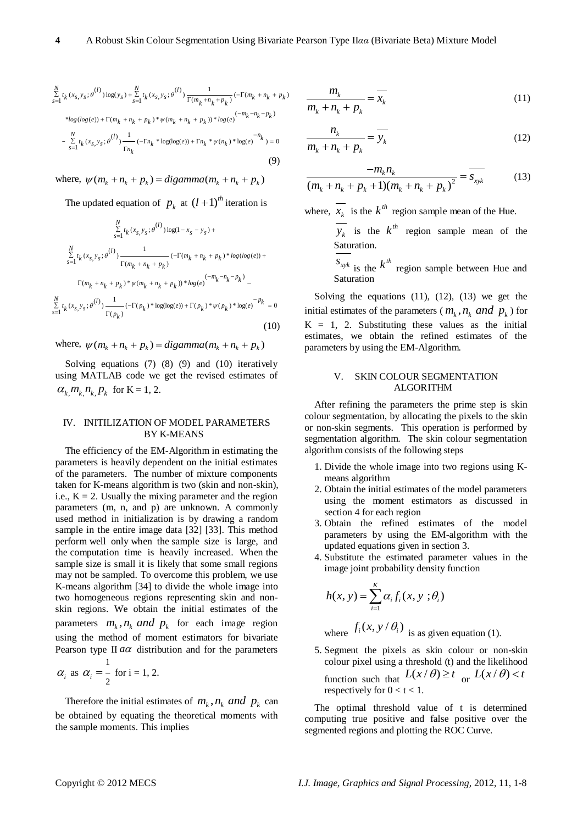$$
\sum_{s=1}^{N} t_k(x_s, y_s; \theta^{(l)}) \log(y_s) + \sum_{s=1}^{N} t_k(x_s, y_s; \theta^{(l)}) \frac{1}{\Gamma(m_k + n_k + p_k)} (-\Gamma(m_k + n_k + p_k) \n*log(log(e)) + \Gamma(m_k + n_k + p_k) * \psi(m_k + n_k + p_k) * log(e)^{(-m_k - n_k - p_k)} \n- \sum_{s=1}^{N} t_k(x_s, y_s; \theta^{(l)}) \frac{1}{\Gamma n_k} (-\Gamma n_k * \log(\log(e)) + \Gamma n_k * \psi(n_k) * \log(e)^{-n_k}) = 0
$$
\n(9)

where,  $\psi(m_k + n_k + p_k) = digamma(m_k + n_k + p_k)$ 

The updated equation of  $p_k$  at  $(l+1)^{th}$  iteration is

$$
\sum_{s=1}^{N} t_k (x_{s, y_s}; \theta^{(l)}) \log(1 - x_s - y_s) +
$$
  

$$
\sum_{s=1}^{N} t_k (x_{s, y_s}; \theta^{(l)}) \frac{1}{\Gamma(m_k + n_k + p_k)} (-\Gamma(m_k + n_k + p_k) * \log(\log(e)) +
$$
  

$$
\Gamma(m_k + n_k + p_k) * \psi(m_k + n_k + p_k) * \log(e)^{(-m_k - n_k - p_k)} -
$$
  

$$
\sum_{s=1}^{N} t_k (x_{s, y_s}; \theta^{(l)}) \frac{1}{\Gamma(p_k)} (-\Gamma(p_k) * \log(\log(e)) + \Gamma(p_k) * \psi(p_k) * \log(e)^{-p_k} = 0
$$
  
(10)

where,  $\psi(m_k + n_k + p_k) = digamma(m_k + n_k + p_k)$ 

Solving equations (7) (8) (9) and (10) iteratively using MATLAB code we get the revised estimates of  $\alpha_{k, m_k, n_k, p_k}$  for K = 1, 2.

#### IV. INITILIZATION OF MODEL PARAMETERS BY K-MEANS

The efficiency of the EM-Algorithm in estimating the parameters is heavily dependent on the initial estimates of the parameters. The number of mixture components taken for K-means algorithm is two (skin and non-skin), i.e.,  $K = 2$ . Usually the mixing parameter and the region parameters (m, n, and p) are unknown. A commonly used method in initialization is by drawing a random sample in the entire image data [32] [33]. This method perform well only when the sample size is large, and the computation time is heavily increased. When the sample size is small it is likely that some small regions may not be sampled. To overcome this problem, we use K-means algorithm [34] to divide the whole image into two homogeneous regions representing skin and nonskin regions. We obtain the initial estimates of the parameters  $m_k$ ,  $n_k$  and  $p_k$  for each image region using the method of moment estimators for bivariate Pearson type II  $a\alpha$  distribution and for the parameters 1

$$
\alpha_i
$$
 as  $\alpha_i = \frac{1}{2}$  for  $i = 1, 2$ .

Therefore the initial estimates of  $m_k$ ,  $n_k$  and  $p_k$  can be obtained by equating the theoretical moments with the sample moments. This implies

$$
\frac{m_k}{m_k + n_k + p_k} = \overline{x_k} \tag{11}
$$

$$
\frac{n_k}{m_k + n_k + p_k} = \overline{y_k}
$$
 (12)

$$
\frac{-m_k n_k}{(m_k + n_k + p_k + 1)(m_k + n_k + p_k)^2} = \frac{}{s_{xyk}} \tag{13}
$$

where,  $x_k$  is the  $k^{th}$  region sample mean of the Hue.

 $y_k$  is the  $k^{th}$  region sample mean of the Saturation.

 $S_{xyk}$  is the  $k^{th}$  region sample between Hue and Saturation

Solving the equations  $(11)$ ,  $(12)$ ,  $(13)$  we get the initial estimates of the parameters ( $m_k$ ,  $n_k$  and  $p_k$ ) for  $K = 1$ , 2. Substituting these values as the initial estimates, we obtain the refined estimates of the parameters by using the EM-Algorithm.

#### V. SKIN COLOUR SEGMENTATION ALGORITHM

After refining the parameters the prime step is skin colour segmentation, by allocating the pixels to the skin or non-skin segments. This operation is performed by segmentation algorithm. The skin colour segmentation algorithm consists of the following steps

- 1. Divide the whole image into two regions using Kmeans algorithm
- 2. Obtain the initial estimates of the model parameters using the moment estimators as discussed in section 4 for each region
- 3. Obtain the refined estimates of the model parameters by using the EM-algorithm with the updated equations given in section 3.
- 4. Substitute the estimated parameter values in the image joint probability density function

$$
h(x, y) = \sum_{i=1}^{K} \alpha_i f_i(x, y; \theta_i)
$$

where 
$$
f_i(x, y/\theta_i)
$$
 is as given equation (1).

5. Segment the pixels as skin colour or non-skin colour pixel using a threshold (t) and the likelihood function such that  $L(x/\theta) \geq t$  or  $L(x/\theta) < t$ respectively for  $0 < t < 1$ .

The optimal threshold value of t is determined computing true positive and false positive over the segmented regions and plotting the ROC Curve.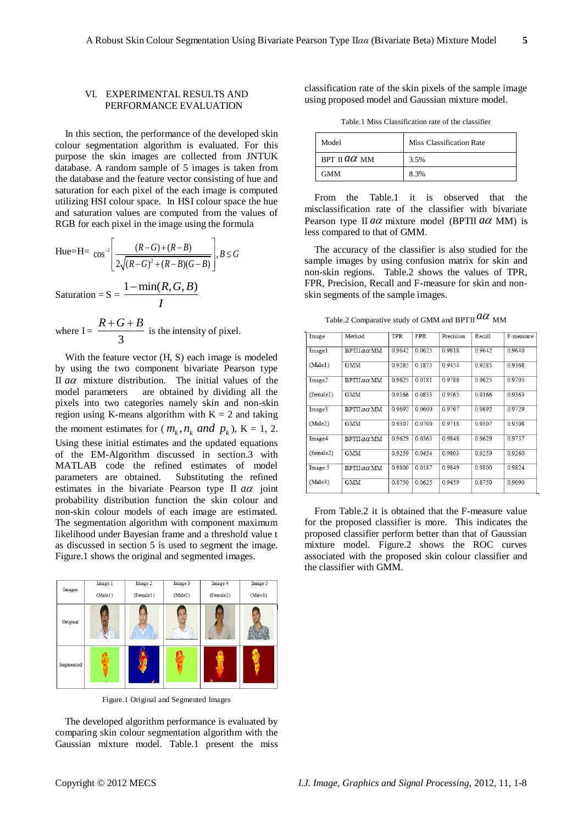#### VI. EXPERIMENTAL RESULTS AND PERFORMANCE EVALUATION

In this section, the performance of the developed skin colour segmentation algorithm is evaluated. For this purpose the skin images are collected from JNTUK database. A random sample of 5 images is taken from the database and the feature vector consisting of hue and saturation for each pixel of the each image is computed utilizing HSI colour space. In HSI colour space the hue and saturation values are computed from the values of RGB for each pixel in the image using the formula

Hue=H= 
$$
\cos^{-1}\left[\frac{(R-G)+(R-B)}{2\sqrt{(R-G)^2+(R-B)(G-B)}}\right], B \le G
$$
  
Saturation = S =  $\frac{1-\min(R, G, B)}{I}$ 

where I = 
$$
\frac{R+G+B}{3}
$$
 is the intensity of pixel.

With the feature vector (H, S) each image is modeled by using the two component bivariate Pearson type II  $a\alpha$  mixture distribution. The initial values of the model parameters are obtained by dividing all the pixels into two categories namely skin and non-skin region using K-means algorithm with  $K = 2$  and taking the moment estimates for  $(m_k, n_k \text{ and } p_k)$ , K = 1, 2. Using these initial estimates and the updated equations of the EM-Algorithm discussed in section.3 with MATLAB code the refined estimates of model parameters are obtained. Substituting the refined estimates in the bivariate Pearson type II  $a\alpha$  joint probability distribution function the skin colour and non-skin colour models of each image are estimated. The segmentation algorithm with component maximum likelihood under Bayesian frame and a threshold value t as discussed in section 5 is used to segment the image. Figure.1 shows the original and segmented images.



Figure.1 Original and Segmented Images

The developed algorithm performance is evaluated by comparing skin colour segmentation algorithm with the Gaussian mixture model. Table.1 present the miss classification rate of the skin pixels of the sample image using proposed model and Gaussian mixture model.

Table.1 Miss Classification rate of the classifier

| Model               | Miss Classification Rate |
|---------------------|--------------------------|
| BPT II $a\alpha$ MM | 3.5%                     |
| <b>GMM</b>          | 8.3%                     |

From the Table.1 it is observed that the misclassification rate of the classifier with bivariate Pearson type II aa mixture model (BPTII aa MM) is less compared to that of GMM.

The accuracy of the classifier is also studied for the sample images by using confusion matrix for skin and non-skin regions. Table.2 shows the values of TPR, FPR, Precision, Recall and F-measure for skin and nonskin segments of the sample images.

Table.2 Comparative study of GMM and BPTII  $a\alpha$  <sub>MM</sub>

| Image     | Method            | <b>TPR</b> | <b>FPR</b> | Precision | Recall    | F-measure |
|-----------|-------------------|------------|------------|-----------|-----------|-----------|
| Imagel    | <b>BPTILGQ MM</b> | 0.9642     | 0.0625     | 0.9818    | 0 9 6 4 2 | 0.9640    |
| (Male1)   | <b>GMM</b>        | 0.9285     | 0.1875     | 09454     | 0.9285    | 0.9368    |
| Image2    | $BPTIIa\alpha$ MM | 0.9625     | 0.0181     | 0.9788    | 0.9625    | 0.9705    |
| (female1) | <b>GMM</b>        | 09166      | 0 0 8 3 3  | 09565     | 09166     | 09363     |
| Image3    | $BPTIIa\alpha MM$ | 0 9692     | 0.0600     | 09767     | 0.9692    | 09729     |
| (Male2)   | <b>GMM</b>        | 0.9307     | 0.0700     | 0.9718    | 0.9307    | 0.9508    |
| Image4    | $BPTIIa\alpha MM$ | 0.9629     | 0.0363     | 0.9848    | 0.9629    | 0.9737    |
| (female2) | <b>GMM</b>        | 09259      | 0 0 4 5 4  | 0.9803    | 09259     | 0 9 2 6 0 |
| Image 5   | $BPTIIa\alpha$ MM | 0.9800     | 0 0 1 8 7  | 09849     | 0.9800    | 09824     |
| (Male3)   | <b>GMM</b>        | 0.8750     | 0.0625     | 09459     | 0.8750    | 0.9090    |

From Table.2 it is obtained that the F-measure value for the proposed classifier is more. This indicates the proposed classifier perform better than that of Gaussian mixture model. Figure.2 shows the ROC curves associated with the proposed skin colour classifier and the classifier with GMM.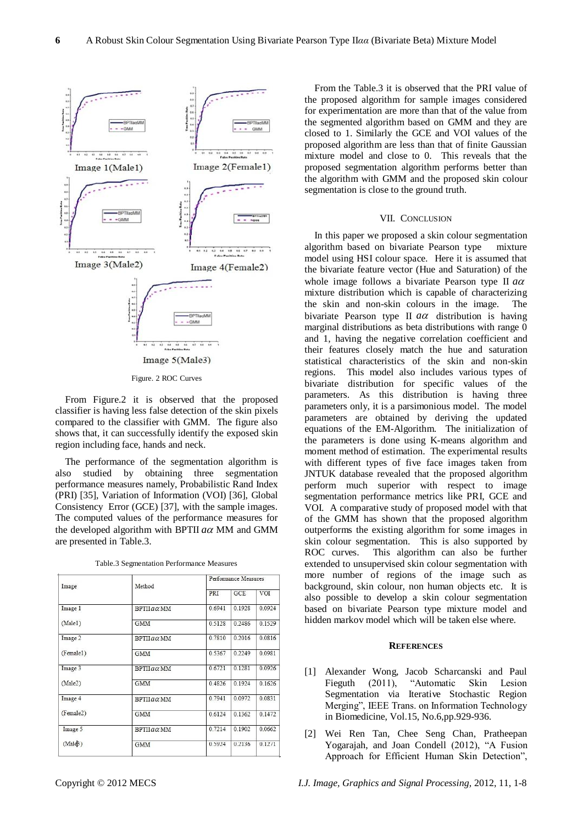

Figure. 2 ROC Curves

From Figure.2 it is observed that the proposed classifier is having less false detection of the skin pixels compared to the classifier with GMM. The figure also shows that, it can successfully identify the exposed skin region including face, hands and neck.

The performance of the segmentation algorithm is also studied by obtaining three segmentation performance measures namely, Probabilistic Rand Index (PRI) [35], Variation of Information (VOI) [36], Global Consistency Error (GCE) [37], with the sample images. The computed values of the performance measures for the developed algorithm with BPTII  $a\alpha$  MM and GMM are presented in Table.3.

|                   |        | Performance Measures |        |  |  |
|-------------------|--------|----------------------|--------|--|--|
|                   | PRI    | GCE                  | VOI    |  |  |
| $BPTIIa\alpha MM$ | 0.6941 | 0.1928               | 0.0924 |  |  |
| <b>GMM</b>        | 0.5128 | 0.2486               | 0.1529 |  |  |
| $BPTIIa\alpha MM$ | 0.7810 | 0.2016               | 0.0816 |  |  |
| <b>GMM</b>        | 0.5367 | 0.2249               | 0.0981 |  |  |
| $BPTIIa\alpha$ MM | 0.6721 | 0.1281               | 0.0926 |  |  |
| <b>GMM</b>        | 0.4826 | 0 1924               | 0.1626 |  |  |
| $BPTIIa\alpha$ MM | 0.7941 | 0.0972               | 0.0831 |  |  |
| <b>GMM</b>        | 0.6124 | 0.1362               | 0.1472 |  |  |
| $BPTIIa\alpha MM$ | 0.7214 | 0.1902               | 0.0662 |  |  |
| <b>GMM</b>        | 0.5924 | 0.2136               | 0.12/1 |  |  |
|                   | Method |                      |        |  |  |

| Table.3 Segmentation Performance Measures |  |  |
|-------------------------------------------|--|--|
|-------------------------------------------|--|--|

From the Table.3 it is observed that the PRI value of the proposed algorithm for sample images considered for experimentation are more than that of the value from the segmented algorithm based on GMM and they are closed to 1. Similarly the GCE and VOI values of the proposed algorithm are less than that of finite Gaussian mixture model and close to 0. This reveals that the proposed segmentation algorithm performs better than the algorithm with GMM and the proposed skin colour segmentation is close to the ground truth.

#### VII. CONCLUSION

In this paper we proposed a skin colour segmentation algorithm based on bivariate Pearson type mixture model using HSI colour space. Here it is assumed that the bivariate feature vector (Hue and Saturation) of the whole image follows a bivariate Pearson type II *a* mixture distribution which is capable of characterizing the skin and non-skin colours in the image. The bivariate Pearson type II *a* distribution is having marginal distributions as beta distributions with range 0 and 1, having the negative correlation coefficient and their features closely match the hue and saturation statistical characteristics of the skin and non-skin regions. This model also includes various types of bivariate distribution for specific values of the parameters. As this distribution is having three parameters only, it is a parsimonious model. The model parameters are obtained by deriving the updated equations of the EM-Algorithm. The initialization of the parameters is done using K-means algorithm and moment method of estimation. The experimental results with different types of five face images taken from JNTUK database revealed that the proposed algorithm perform much superior with respect to image segmentation performance metrics like PRI, GCE and VOI. A comparative study of proposed model with that of the GMM has shown that the proposed algorithm outperforms the existing algorithm for some images in skin colour segmentation. This is also supported by ROC curves. This algorithm can also be further extended to unsupervised skin colour segmentation with more number of regions of the image such as background, skin colour, non human objects etc. It is also possible to develop a skin colour segmentation based on bivariate Pearson type mixture model and hidden markov model which will be taken else where.

#### **REFERENCES**

- [1] Alexander Wong, Jacob Scharcanski and Paul Fieguth (2011), "Automatic Skin Lesion Segmentation via Iterative Stochastic Region Merging", IEEE Trans. on Information Technology in Biomedicine, Vol.15, No.6,pp.929-936.
- [2] Wei Ren Tan, Chee Seng Chan, Pratheepan Yogarajah, and Joan Condell (2012), "A Fusion Approach for Efficient Human Skin Detection",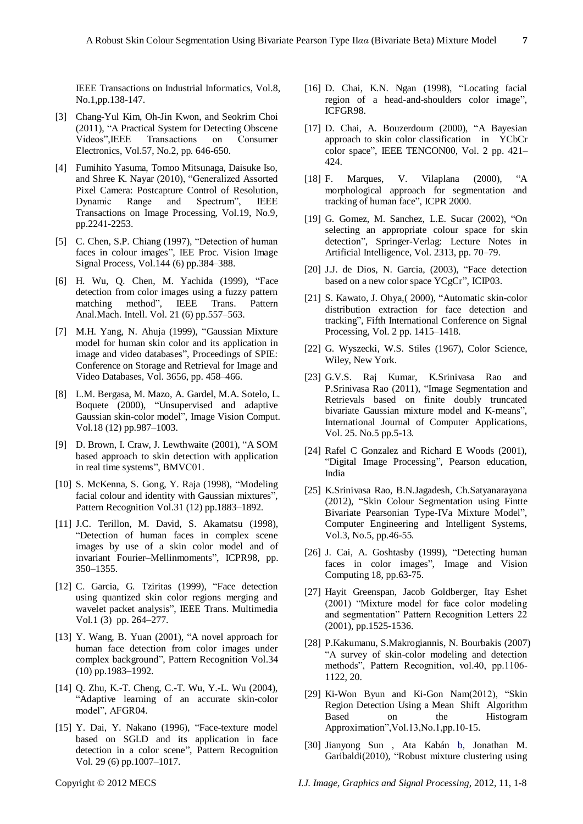IEEE Transactions on Industrial Informatics, Vol.8, No.1,pp.138-147.

- [3] Chang-Yul Kim, Oh-Jin Kwon, and Seokrim Choi (2011), "A Practical System for Detecting Obscene Videos", IEEE Transactions on Consumer Electronics, Vol.57, No.2, pp. 646-650.
- [4] Fumihito Yasuma, Tomoo Mitsunaga, Daisuke Iso, and Shree K. Nayar (2010), "Generalized Assorted Pixel Camera: Postcapture Control of Resolution, Dynamic Range and Spectrum", IEEE Transactions on Image Processing, Vol.19, No.9, pp.2241-2253.
- [5] C. Chen, S.P. Chiang (1997), "Detection of human faces in colour images", IEE Proc. Vision Image Signal Process, Vol.144 (6) pp.384–388.
- [6] H. Wu, Q. Chen, M. Yachida (1999), "Face detection from color images using a fuzzy pattern matching method", IEEE Trans. Pattern Anal.Mach. Intell. Vol. 21 (6) pp.557–563.
- [7] M.H. Yang, N. Ahuja (1999), "Gaussian Mixture model for human skin color and its application in image and video databases", Proceedings of SPIE: Conference on Storage and Retrieval for Image and Video Databases, Vol. 3656, pp. 458–466.
- [8] L.M. Bergasa, M. Mazo, A. Gardel, M.A. Sotelo, L. Boquete (2000), "Unsupervised and adaptive Gaussian skin-color model", Image Vision Comput. Vol.18 (12) pp.987–1003.
- [9] D. Brown, I. Craw, J. Lewthwaite (2001), "A SOM based approach to skin detection with application in real time systems", BMVC01.
- [10] S. McKenna, S. Gong, Y. Raja (1998), "Modeling facial colour and identity with Gaussian mixtures", Pattern Recognition Vol.31 (12) pp.1883–1892.
- [11] J.C. Terillon, M. David, S. Akamatsu (1998), ―Detection of human faces in complex scene images by use of a skin color model and of invariant Fourier-Mellinmoments", ICPR98, pp. 350–1355.
- [12] C. Garcia, G. Tziritas (1999), "Face detection using quantized skin color regions merging and wavelet packet analysis", IEEE Trans. Multimedia Vol.1 (3) pp. 264–277.
- [13] Y. Wang, B. Yuan  $(2001)$ , "A novel approach for human face detection from color images under complex background", Pattern Recognition Vol.34 (10) pp.1983–1992.
- [14] Q. Zhu, K.-T. Cheng, C.-T. Wu, Y.-L. Wu (2004), ―Adaptive learning of an accurate skin-color model", AFGR04.
- [15] Y. Dai, Y. Nakano (1996), "Face-texture model based on SGLD and its application in face detection in a color scene", Pattern Recognition Vol. 29 (6) pp.1007–1017.
- [16] D. Chai, K.N. Ngan (1998), "Locating facial region of a head-and-shoulders color image", ICFGR98.
- $[17]$  D. Chai, A. Bouzerdoum  $(2000)$ , "A Bayesian approach to skin color classification in YCbCr color space", IEEE TENCON00, Vol. 2 pp. 421– 424.
- [18] F. Marques, V. Vilaplana  $(2000)$ , "A morphological approach for segmentation and tracking of human face", ICPR 2000.
- [19] G. Gomez, M. Sanchez, L.E. Sucar (2002), "On selecting an appropriate colour space for skin detection", Springer-Verlag: Lecture Notes in Artificial Intelligence, Vol. 2313, pp. 70–79.
- $[20]$  J.J. de Dios, N. Garcia,  $(2003)$ , "Face detection based on a new color space YCgCr", ICIP03.
- [21] S. Kawato, J. Ohya, (2000), "Automatic skin-color distribution extraction for face detection and tracking", Fifth International Conference on Signal Processing, Vol. 2 pp. 1415–1418.
- [22] G. Wyszecki, W.S. Stiles (1967), Color Science, Wiley, New York.
- [23] G.V.S. Raj Kumar, K.Srinivasa Rao and P.Srinivasa Rao (2011), "Image Segmentation and Retrievals based on finite doubly truncated bivariate Gaussian mixture model and K-means", International Journal of Computer Applications, Vol. 25. No.5 pp.5-13.
- [24] Rafel C Gonzalez and Richard E Woods (2001), "Digital Image Processing", Pearson education, India
- [25] K.Srinivasa Rao, B.N.Jagadesh, Ch.Satyanarayana (2012), "Skin Colour Segmentation using Fintte Bivariate Pearsonian Type-IVa Mixture Model", Computer Engineering and Intelligent Systems, Vol.3, No.5, pp.46-55.
- [26] J. Cai, A. Goshtasby (1999), "Detecting human faces in color images", Image and Vision Computing 18, pp.63-75.
- [27] Hayit Greenspan, Jacob Goldberger, Itay Eshet (2001) "Mixture model for face color modeling and segmentation" Pattern Recognition Letters 22 (2001), pp.1525-1536.
- [28] P.Kakumanu, S.Makrogiannis, N. Bourbakis (2007) ―A survey of skin-color modeling and detection methods", Pattern Recognition, vol.40, pp.1106-1122, 20.
- [29] Ki-Won Byun and Ki-Gon Nam(2012), "Skin Region Detection Using a Mean Shift Algorithm Based on the Histogram Approximation", Vol.13, No.1, pp.10-15.
- [30] Jianyong Sun , Ata Kabán b, Jonathan M. Garibaldi(2010), "Robust mixture clustering using